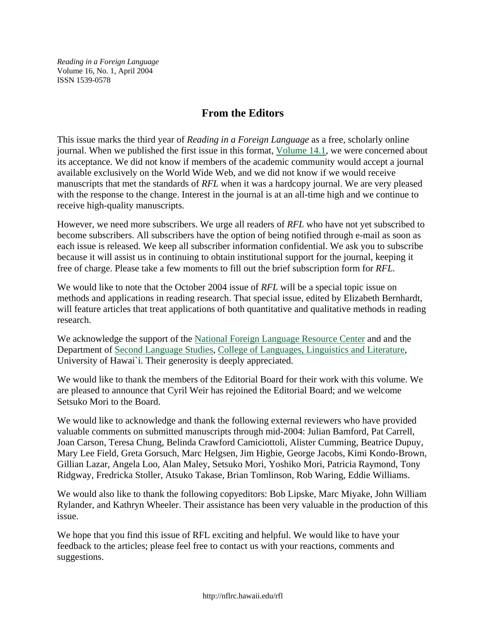*Reading in a Foreign Language*  Volume 16, No. 1, April 2004 ISSN 1539-0578

## **From the Editors**

This issue marks the third year of *Reading in a Foreign Language* as a free, scholarly online journal. When we published the first issue in this format, [Volume 14.1,](http://nflrc.hawaii.edu/rfl/April2002/) we were concerned about its acceptance. We did not know if members of the academic community would accept a journal available exclusively on the World Wide Web, and we did not know if we would receive manuscripts that met the standards of *RFL* when it was a hardcopy journal. We are very pleased with the response to the change. Interest in the journal is at an all-time high and we continue to receive high-quality manuscripts.

However, we need more subscribers. We urge all readers of *RFL* who have not yet subscribed to become subscribers. All subscribers have the option of being notified through e-mail as soon as each issue is released. We keep all subscriber information confidential. We ask you to subscribe because it will assist us in continuing to obtain institutional support for the journal, keeping it free of charge. Please take a few moments to fill out the brief subscription form for *RFL.*

We would like to note that the October 2004 issue of *RFL* will be a special topic issue on methods and applications in reading research. That special issue, edited by Elizabeth Bernhardt, will feature articles that treat applications of both quantitative and qualitative methods in reading research.

We acknowledge the support of the [National Foreign Language Resource Center](http://nflrc.hawaii.edu/) and and the Department of [Second Language Studies,](http://www.hawaii.edu/sls) [College of Languages, Linguistics and Literature,](http://www.lll.hawaii.edu/) University of Hawai`i. Their generosity is deeply appreciated.

We would like to thank the members of the Editorial Board for their work with this volume. We are pleased to announce that Cyril Weir has rejoined the Editorial Board; and we welcome Setsuko Mori to the Board.

We would like to acknowledge and thank the following external reviewers who have provided valuable comments on submitted manuscripts through mid-2004: Julian Bamford, Pat Carrell, Joan Carson, Teresa Chung, Belinda Crawford Camiciottoli, Alister Cumming, Beatrice Dupuy, Mary Lee Field, Greta Gorsuch, Marc Helgsen, Jim Higbie, George Jacobs, Kimi Kondo-Brown, Gillian Lazar, Angela Loo, Alan Maley, Setsuko Mori, Yoshiko Mori, Patricia Raymond, Tony Ridgway, Fredricka Stoller, Atsuko Takase, Brian Tomlinson, Rob Waring, Eddie Williams.

We would also like to thank the following copyeditors: Bob Lipske, Marc Miyake, John William Rylander, and Kathryn Wheeler. Their assistance has been very valuable in the production of this issue.

We hope that you find this issue of RFL exciting and helpful. We would like to have your feedback to the articles; please feel free to contact us with your reactions, comments and suggestions.